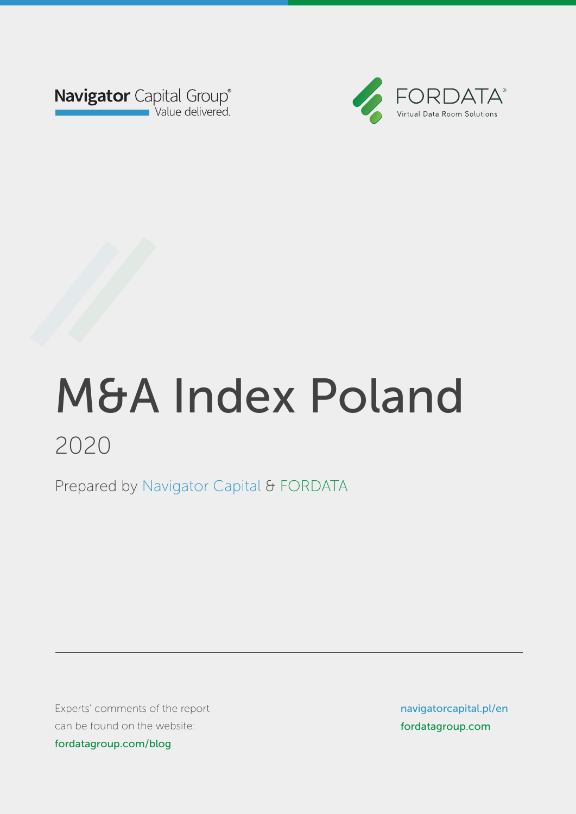



Prepared by Navigator Capital & FORDATA Prepared by Navigator Capital & FORDATA

Experts' comments of the report can be found on the website: blog.fordata.plog.for fordatagroup.com/blog

navigatorcapital.p/en navigatorcapital.pl/en fordatagroup.com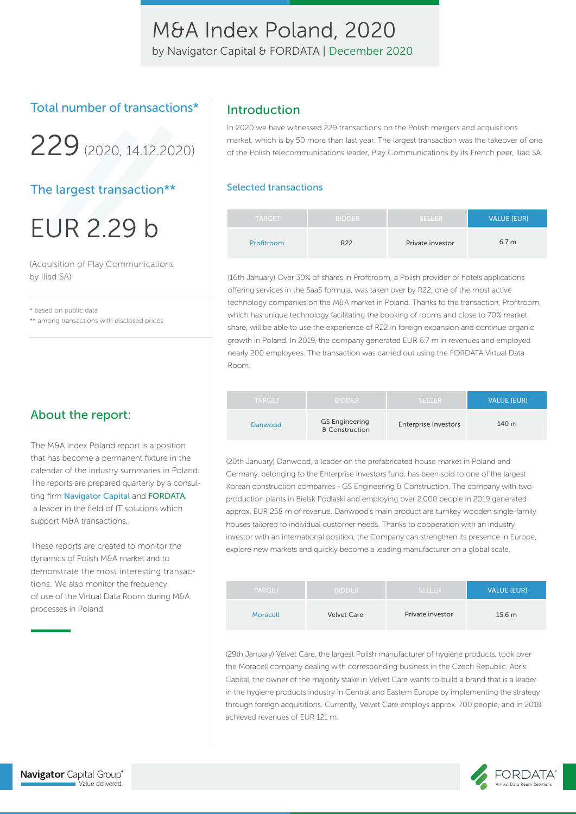by Navigator Capital & FORDATA | December 2020

### Total number of transactions\*

229(2020, 14.12.2020)

### The largest transaction\*\*

# EUR 2.29 b

(Acquisition of Play Communications by Iliad SA)

\* based on public data \*\* among transactions with disclosed prices

### About the report:

The M&A Index Poland report is a position that has become a permanent fixture in the calendar of the industry summaries in Poland. The reports are prepared quarterly by a consulting firm Navigator Capital and FORDATA, a leader in the field of IT solutions which support M&A transactions.

These reports are created to monitor the dynamics of Polish M&A market and to demonstrate the most interesting transactions. We also monitor the frequency of use of the Virtual Data Room during M&A processes in Poland.

### Introduction

In 2020 we have witnessed 229 transactions on the Polish mergers and acquisitions market, which is by 50 more than last year. The largest transaction was the takeover of one of the Polish telecommunications leader, Play Communications by its French peer, Iliad SA.

#### Selected transactions

| <b>TARGET</b> | <b>BIDDER</b>   | <b>SELLER</b>    | <b>VALUE [EUR]</b> |
|---------------|-----------------|------------------|--------------------|
| Profitroom    | R <sub>22</sub> | Private investor | 6.7 <sub>m</sub>   |

(16th January) Over 30% of shares in Profitroom, a Polish provider of hotels applications offering services in the SaaS formula, was taken over by R22, one of the most active technology companies on the M&A market in Poland. Thanks to the transaction, Profitroom, which has unique technology facilitating the booking of rooms and close to 70% market share, will be able to use the experience of R22 in foreign expansion and continue organic growth in Poland. In 2019, the company generated EUR 6.7 m in revenues and employed nearly 200 employees. The transaction was carried out using the FORDATA Virtual Data Room.

| <b>TARGET</b> | <b>BIDDER</b>                           | <b>SELLER</b>               | <b>VALUE [EUR]</b> |
|---------------|-----------------------------------------|-----------------------------|--------------------|
| Danwood       | <b>GS Engineering</b><br>& Construction | <b>Enterprise Investors</b> | 140 m              |

(20th January) Danwood, a leader on the prefabricated house market in Poland and Germany, belonging to the Enterprise Investors fund, has been sold to one of the largest Korean construction companies - GS Engineering & Construction. The company with two production plants in Bielsk Podlaski and employing over 2,000 people in 2019 generated approx. EUR 258 m of revenue. Danwood's main product are turnkey wooden single-family houses tailored to individual customer needs. Thanks to cooperation with an industry investor with an international position, the Company can strengthen its presence in Europe, explore new markets and quickly become a leading manufacturer on a global scale.

| <b>TARGET</b> | <b>BIDDER</b>      | <b>SELLER</b>    | <b>VALUE [EUR]</b> |
|---------------|--------------------|------------------|--------------------|
| Moracell      | <b>Velvet Care</b> | Private investor | 15.6 <sub>m</sub>  |

(29th January) Velvet Care, the largest Polish manufacturer of hygiene products, took over the Moracell company dealing with corresponding business in the Czech Republic. Abris Capital, the owner of the majority stake in Velvet Care wants to build a brand that is a leader in the hygiene products industry in Central and Eastern Europe by implementing the strategy through foreign acquisitions. Currently, Velvet Care employs approx. 700 people, and in 2018 achieved revenues of EUR 121 m.

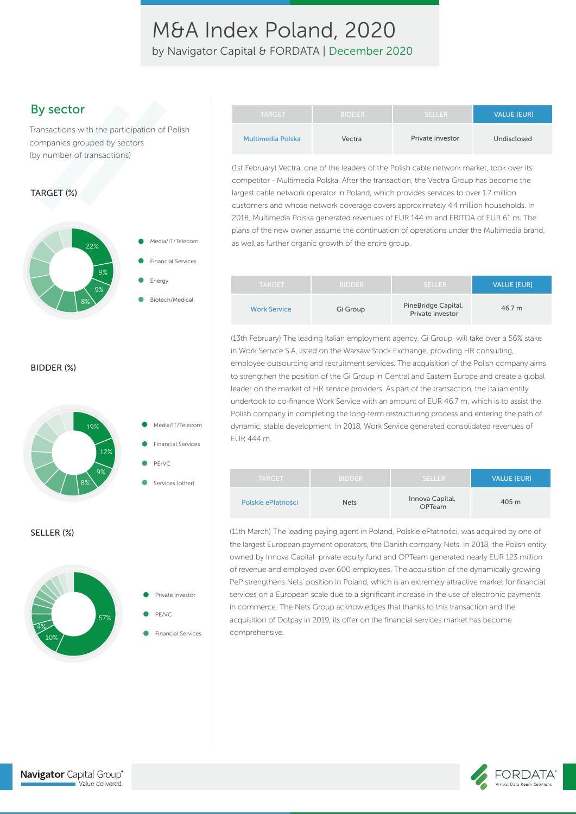by Navigator Capital & FORDATA | December 2020

### By sector

Transactions with the participation of Polish companies grouped by sectors (by number of transactions)

#### TARGET (%)



#### BIDDER (%)





| <b>TARGET</b>     | <b>BIDDER</b> | <b>SELLER</b>    | <b>VALUE [EUR]</b> |
|-------------------|---------------|------------------|--------------------|
| Multimedia Polska | Vectra        | Private investor | Undisclosed        |

(1st February) Vectra, one of the leaders of the Polish cable network market, took over its competitor - Multimedia Polska. After the transaction, the Vectra Group has become the largest cable network operator in Poland, which provides services to over 1.7 million customers and whose network coverage covers approximately 4.4 million households. In 2018, Multimedia Polska generated revenues of EUR 144 m and EBITDA of EUR 61 m. The plans of the new owner assume the continuation of operations under the Multimedia brand, as well as further organic growth of the entire group.

| <b>TARGET</b>       | <b>BIDDER</b> | <b>SELLER</b>                           | <b>VALUE IEURI</b> |
|---------------------|---------------|-----------------------------------------|--------------------|
| <b>Work Service</b> | Gi Group      | PineBridge Capital,<br>Private investor | 46.7 m             |

(13th February) The leading Italian employment agency, Gi Group, will take over a 56% stake in Work Serivce S.A, listed on the Warsaw Stock Exchange, providing HR consulting, employee outsourcing and recruitment services. The acquisition of the Polish company aims to strengthen the position of the Gi Group in Central and Eastern Europe and create a global leader on the market of HR service providers. As part of the transaction, the Italian entity undertook to co-finance Work Service with an amount of EUR 46.7 m, which is to assist the Polish company in completing the long-term restructuring process and entering the path of dynamic, stable development. In 2018, Work Service generated consolidated revenues of EUR 444 m.

| <b>TARGET</b>      | <b>BIDDER</b> | <b>SELLER</b>             | <b>VALUE [EUR]</b> |
|--------------------|---------------|---------------------------|--------------------|
| Polskie ePłatności | <b>Nets</b>   | Innova Capital,<br>OPTeam | 405 m              |

(11th March) The leading paying agent in Poland, Polskie ePłatności, was acquired by one of the largest European payment operators, the Danish company Nets. In 2018, the Polish entity owned by Innova Capital private equity fund and OPTeam generated nearly EUR 123 million of revenue and employed over 600 employees. The acquisition of the dynamically growing PeP strengthens Nets' position in Poland, which is an extremely attractive market for financial services on a European scale due to a significant increase in the use of electronic payments in commerce. The Nets Group acknowledges that thanks to this transaction and the acquisition of Dotpay in 2019, its offer on the financial services market has become comprehensive.



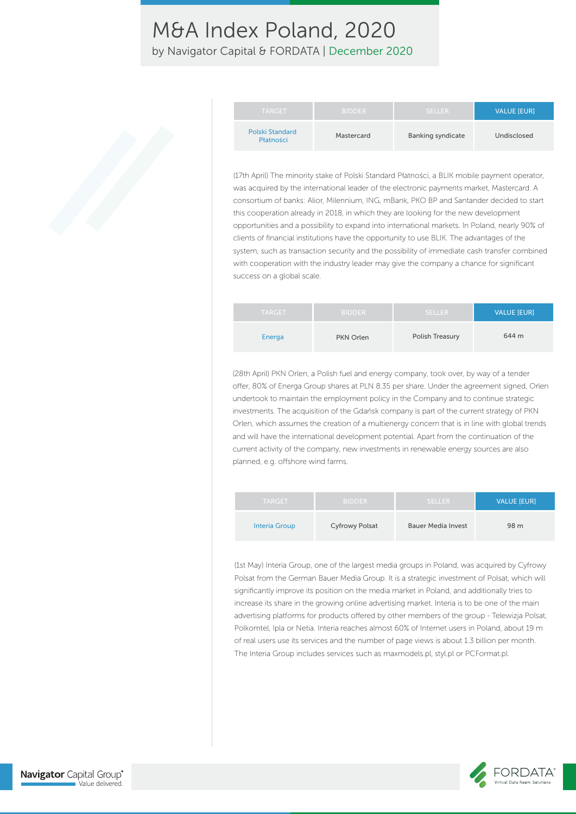by Navigator Capital & FORDATA | December 2020

| <b>TARGET</b>                | <b>BIDDER</b> | <b>SELLER</b>     | <b>VALUE IEURI</b> |
|------------------------------|---------------|-------------------|--------------------|
| Polski Standard<br>Płatności | Mastercard    | Banking syndicate | Undisclosed        |

(17th April) The minority stake of Polski Standard Płatności, a BLIK mobile payment operator, was acquired by the international leader of the electronic payments market, Mastercard. A consortium of banks: Alior, Milennium, ING, mBank, PKO BP and Santander decided to start this cooperation already in 2018, in which they are looking for the new development opportunities and a possibility to expand into international markets. In Poland, nearly 90% of clients of financial institutions have the opportunity to use BLIK. The advantages of the system, such as transaction security and the possibility of immediate cash transfer combined with cooperation with the industry leader may give the company a chance for significant success on a global scale.

| <b>TARGET</b> | <b>BIDDER</b> | <b>SELLER</b>   | <b>VALUE [EUR]</b> |
|---------------|---------------|-----------------|--------------------|
| Energa        | PKN Orlen     | Polish Treasury | 644 m              |

(28th April) PKN Orlen, a Polish fuel and energy company, took over, by way of a tender offer, 80% of Energa Group shares at PLN 8.35 per share. Under the agreement signed, Orlen undertook to maintain the employment policy in the Company and to continue strategic investments. The acquisition of the Gdańsk company is part of the current strategy of PKN Orlen, which assumes the creation of a multienergy concern that is in line with global trends and will have the international development potential. Apart from the continuation of the current activity of the company, new investments in renewable energy sources are also planned, e.g. offshore wind farms.

| <b>TARGET</b>        | <b>BIDDER</b>         | SELLER.                   | <b>VALUE [EUR]</b> |
|----------------------|-----------------------|---------------------------|--------------------|
| <b>Interia Group</b> | <b>Cyfrowy Polsat</b> | <b>Bauer Media Invest</b> | 98 m               |

(1st May) Interia Group, one of the largest media groups in Poland, was acquired by Cyfrowy Polsat from the German Bauer Media Group. It is a strategic investment of Polsat, which will significantly improve its position on the media market in Poland, and additionally tries to increase its share in the growing online advertising market. Interia is to be one of the main advertising platforms for products offered by other members of the group - Telewizja Polsat, Polkomtel, Ipla or Netia. Interia reaches almost 60% of Internet users in Poland, about 19 m of real users use its services and the number of page views is about 1.3 billion per month. The Interia Group includes services such as maxmodels.pl, styl.pl or PCFormat.pl.



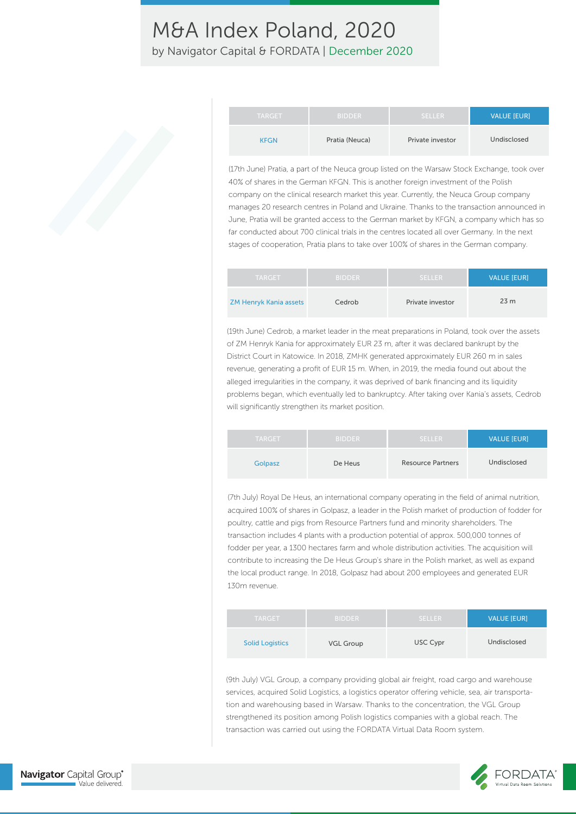by Navigator Capital & FORDATA | December 2020

| <b>TARGET</b> | <b>BIDDER</b>  | <b>SELLER</b>    | <b>VALUE [EUR]</b> |
|---------------|----------------|------------------|--------------------|
| <b>KFGN</b>   | Pratia (Neuca) | Private investor | Undisclosed        |

(17th June) Pratia, a part of the Neuca group listed on the Warsaw Stock Exchange, took over 40% of shares in the German KFGN. This is another foreign investment of the Polish company on the clinical research market this year. Currently, the Neuca Group company manages 20 research centres in Poland and Ukraine. Thanks to the transaction announced in June, Pratia will be granted access to the German market by KFGN, a company which has so far conducted about 700 clinical trials in the centres located all over Germany. In the next stages of cooperation, Pratia plans to take over 100% of shares in the German company.

| <b>TARGET</b>                 | <b>BIDDER</b> | <b>SELLER</b>    | <b>VALUE IEURI</b> |
|-------------------------------|---------------|------------------|--------------------|
| <b>ZM Henryk Kania assets</b> | Cedrob        | Private investor | 23 <sub>m</sub>    |

(19th June) Cedrob, a market leader in the meat preparations in Poland, took over the assets of ZM Henryk Kania for approximately EUR 23 m, after it was declared bankrupt by the District Court in Katowice. In 2018, ZMHK generated approximately EUR 260 m in sales revenue, generating a profit of EUR 15 m. When, in 2019, the media found out about the alleged irregularities in the company, it was deprived of bank financing and its liquidity problems began, which eventually led to bankruptcy. After taking over Kania's assets, Cedrob will significantly strengthen its market position.

| <b>TARGET</b> | <b>BIDDER</b> | <b>SELLER</b>            | <b>VALUE [EUR]</b> |
|---------------|---------------|--------------------------|--------------------|
| Golpasz       | De Heus       | <b>Resource Partners</b> | Undisclosed        |

(7th July) Royal De Heus, an international company operating in the field of animal nutrition, acquired 100% of shares in Golpasz, a leader in the Polish market of production of fodder for poultry, cattle and pigs from Resource Partners fund and minority shareholders. The transaction includes 4 plants with a production potential of approx. 500,000 tonnes of fodder per year, a 1300 hectares farm and whole distribution activities. The acquisition will contribute to increasing the De Heus Group's share in the Polish market, as well as expand the local product range. In 2018, Golpasz had about 200 employees and generated EUR 130m revenue.

| <b>TARGET</b>          | <b>BIDDER</b>    | <b>SELLER</b> | <b>VALUE [EUR]</b> |
|------------------------|------------------|---------------|--------------------|
| <b>Solid Logistics</b> | <b>VGL Group</b> | USC Cypr      | Undisclosed        |

(9th July) VGL Group, a company providing global air freight, road cargo and warehouse services, acquired Solid Logistics, a logistics operator offering vehicle, sea, air transportation and warehousing based in Warsaw. Thanks to the concentration, the VGL Group strengthened its position among Polish logistics companies with a global reach. The transaction was carried out using the FORDATA Virtual Data Room system.



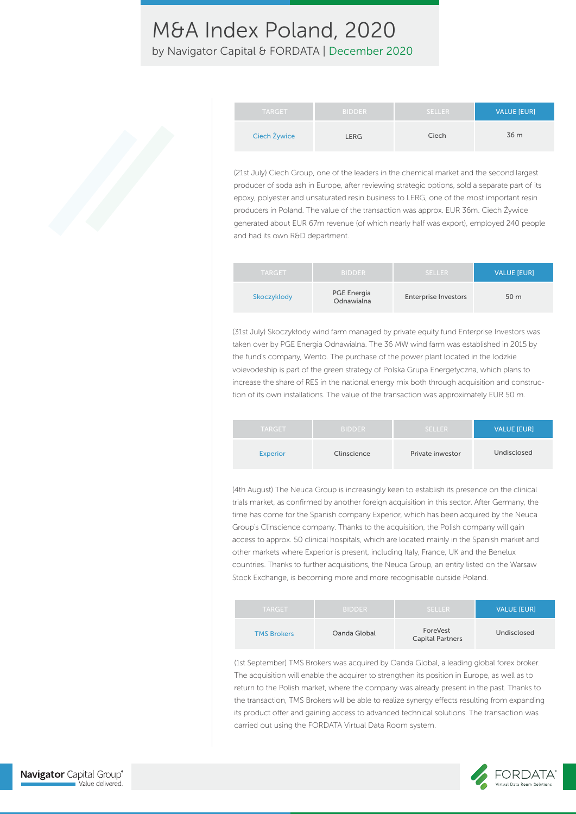by Navigator Capital & FORDATA | December 2020

| <b>TARGET</b> | <b>BIDDER</b> | <b>SELLER</b> | <b>VALUE [EUR]</b> |
|---------------|---------------|---------------|--------------------|
| Ciech Żywice  | LERG          | Ciech         | 36 m               |

(21st July) Ciech Group, one of the leaders in the chemical market and the second largest producer of soda ash in Europe, after reviewing strategic options, sold a separate part of its epoxy, polyester and unsaturated resin business to LERG, one of the most important resin producers in Poland. The value of the transaction was approx. EUR 36m. Ciech Żywice generated about EUR 67m revenue (of which nearly half was export), employed 240 people and had its own R&D department.

| <b>TARGET</b> | <b>BIDDER</b>                    | <b>SELLER</b>               | <b>VALUE [EUR]</b> |
|---------------|----------------------------------|-----------------------------|--------------------|
| Skoczyklody   | <b>PGE Energia</b><br>Odnawialna | <b>Enterprise Investors</b> | 50 m               |

(31st July) Skoczykłody wind farm managed by private equity fund Enterprise Investors was taken over by PGE Energia Odnawialna. The 36 MW wind farm was established in 2015 by the fund's company, Wento. The purchase of the power plant located in the lodzkie voievodeship is part of the green strategy of Polska Grupa Energetyczna, which plans to increase the share of RES in the national energy mix both through acquisition and construction of its own installations. The value of the transaction was approximately EUR 50 m.

| <b>TARGET</b>   | <b>BIDDER</b> | <b>SELLER</b>    | <b>VALUE [EUR]</b> |
|-----------------|---------------|------------------|--------------------|
| <b>Experior</b> | Clinscience   | Private inwestor | Undisclosed        |

(4th August) The Neuca Group is increasingly keen to establish its presence on the clinical trials market, as confirmed by another foreign acquisition in this sector. After Germany, the time has come for the Spanish company Experior, which has been acquired by the Neuca Group's Clinscience company. Thanks to the acquisition, the Polish company will gain access to approx. 50 clinical hospitals, which are located mainly in the Spanish market and other markets where Experior is present, including Italy, France, UK and the Benelux countries. Thanks to further acquisitions, the Neuca Group, an entity listed on the Warsaw Stock Exchange, is becoming more and more recognisable outside Poland.

| <b>TARGET</b>      | <b>BIDDER</b> | <b>SELLER</b>                       | <b>VALUE [EUR]</b> |
|--------------------|---------------|-------------------------------------|--------------------|
| <b>TMS Brokers</b> | Oanda Global  | ForeVest<br><b>Capital Partners</b> | Undisclosed        |

(1st September) TMS Brokers was acquired by Oanda Global, a leading global forex broker. The acquisition will enable the acquirer to strengthen its position in Europe, as well as to return to the Polish market, where the company was already present in the past. Thanks to the transaction, TMS Brokers will be able to realize synergy effects resulting from expanding its product offer and gaining access to advanced technical solutions. The transaction was carried out using the FORDATA Virtual Data Room system.

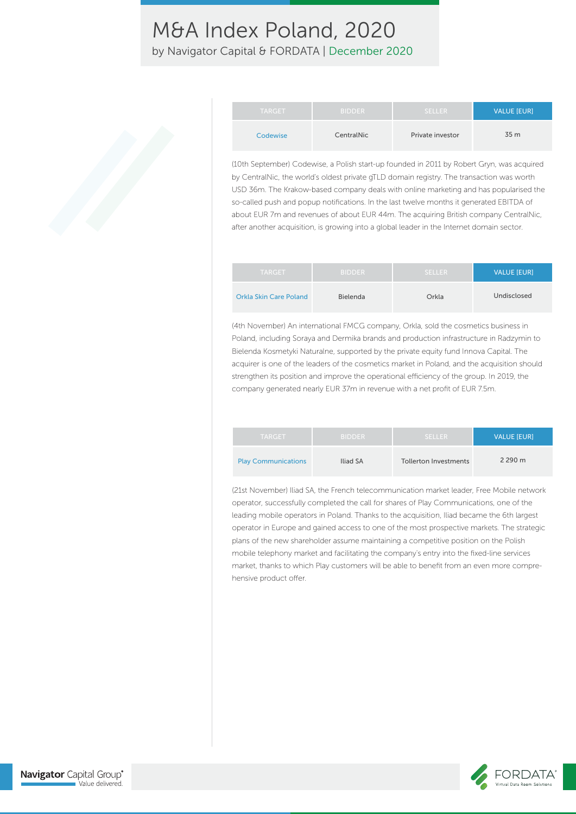by Navigator Capital & FORDATA | December 2020

| <b>TARGET</b> | <b>BIDDER</b> | <b>SELLER</b>    | <b>VALUE [EUR]</b> |
|---------------|---------------|------------------|--------------------|
| Codewise      | CentralNic    | Private investor | 35 m               |

(10th September) Codewise, a Polish start-up founded in 2011 by Robert Gryn, was acquired by CentralNic, the world's oldest private gTLD domain registry. The transaction was worth USD 36m. The Krakow-based company deals with online marketing and has popularised the so-called push and popup notifications. In the last twelve months it generated EBITDA of about EUR 7m and revenues of about EUR 44m. The acquiring British company CentralNic, after another acquisition, is growing into a global leader in the Internet domain sector.

| TARGET.                       | <b>BIDDER</b> | <b>SELLER</b> | <b>VALUE [EUR]</b> |
|-------------------------------|---------------|---------------|--------------------|
| <b>Orkla Skin Care Poland</b> | Bielenda      | Orkla         | Undisclosed        |

(4th November) An international FMCG company, Orkla, sold the cosmetics business in Poland, including Soraya and Dermika brands and production infrastructure in Radzymin to Bielenda Kosmetyki Naturalne, supported by the private equity fund Innova Capital. The acquirer is one of the leaders of the cosmetics market in Poland, and the acquisition should strengthen its position and improve the operational efficiency of the group. In 2019, the company generated nearly EUR 37m in revenue with a net profit of EUR 7.5m.

| <b>TARGET</b>              | <b>BIDDER</b> | <b>SELLER</b>         | <b>VALUE [EUR]</b> |
|----------------------------|---------------|-----------------------|--------------------|
| <b>Play Communications</b> | Iliad SA      | Tollerton Investments | 2 290 m            |

(21st November) Iliad SA, the French telecommunication market leader, Free Mobile network operator, successfully completed the call for shares of Play Communications, one of the leading mobile operators in Poland. Thanks to the acquisition, Iliad became the 6th largest operator in Europe and gained access to one of the most prospective markets. The strategic plans of the new shareholder assume maintaining a competitive position on the Polish mobile telephony market and facilitating the company's entry into the fixed-line services market, thanks to which Play customers will be able to benefit from an even more comprehensive product offer.

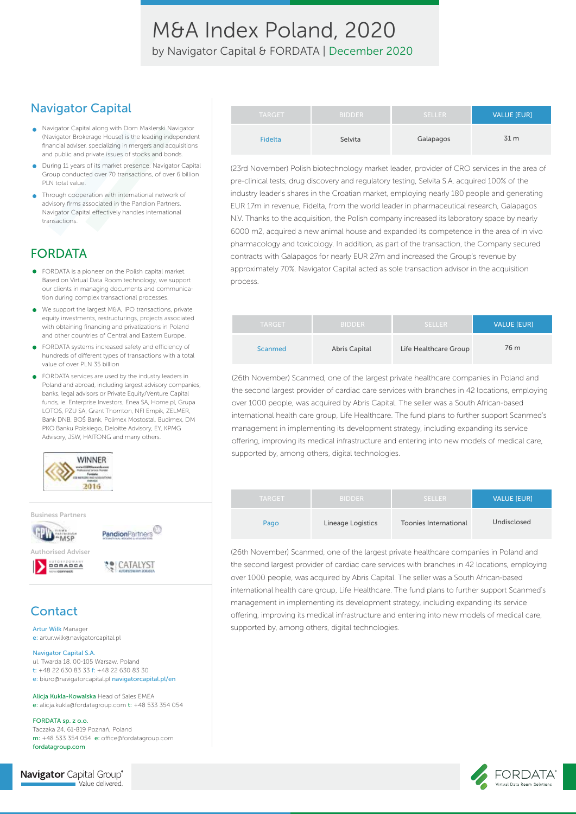M&A Index Poland, 2020 by Navigator Capital & FORDATA | December 2020

### Navigator Capital

- Navigator Capital along with Dom Maklerski Navigator (Navigator Brokerage House) is the leading independent financial adviser, specializing in mergers and acquisitions and public and private issues of stocks and bonds.
- During 11 years of its market presence, Navigator Capital Group conducted over 70 transactions, of over 6 billion PLN total value.
- Through cooperation with international network of advisory firms associated in the Pandion Partners, Navigator Capital effectively handles international transactions.

### FORDATA

- FORDATA is a pioneer on the Polish capital market. Based on Virtual Data Room technology, we support our clients in managing documents and communication during complex transactional processes.
- We support the largest M&A, IPO transactions, private  $\bullet$ equity investments, restructurings, projects associated with obtaining financing and privatizations in Poland and other countries of Central and Eastern Europe.
- FORDATA systems increased safety and efficiency of hundreds of different types of transactions with a total value of over PLN 35 billion
- FORDATA services are used by the industry leaders in Poland and abroad, including largest advisory companies, banks, legal advisors or Private Equity/Venture Capital funds, ie. Enterprise Investors, Enea SA, Home pl, Grupa LOTOS, PZU SA, Grant Thornton, NFI Empik, ZELMER, Bank DNB, BOŚ Bank, Polimex Mostostal, Budimex, DM PKO Banku Polskiego, Deloitte Advisory, EY, KPMG Advisory, JSW, HAITONG and many others.



Business Partners



### **Contact**

Artur Wilk Manager e: artur.wilk@navigatorcapital.pl

#### Navigator Capital S.A.

ul. Twarda 18, 00-105 Warsaw, Poland t: +48 22 630 83 33 f: +48 22 630 83 30 e: biuro@navigatorcapital.pl navigatorcapital.pl/en

Alicja Kukla-Kowalska Head of Sales EMEA e: alicja.kukla@fordatagroup.com t: +48 533 354 054

FORDATA sp. z o.o. Taczaka 24, 61-819 Poznań, Poland m: +48 533 354 054 e: office@fordatagroup.com fordatagroup.com

**Navigator** Capital Group® Value delivered.

| <b>TARGET</b>  | <b>BIDDER</b> | <b>SELLER</b> | <b>VALUE [EUR]</b> |
|----------------|---------------|---------------|--------------------|
| <b>Fidelta</b> | Selvita       | Galapagos     | 31 m               |

(23rd November) Polish biotechnology market leader, provider of CRO services in the area of pre-clinical tests, drug discovery and regulatory testing, Selvita S.A. acquired 100% of the industry leader's shares in the Croatian market, employing nearly 180 people and generating EUR 17m in revenue, Fidelta, from the world leader in pharmaceutical research, Galapagos N.V. Thanks to the acquisition, the Polish company increased its laboratory space by nearly 6000 m2, acquired a new animal house and expanded its competence in the area of in vivo pharmacology and toxicology. In addition, as part of the transaction, the Company secured contracts with Galapagos for nearly EUR 27m and increased the Group's revenue by approximately 70%. Navigator Capital acted as sole transaction advisor in the acquisition process.

| <b>TARGET</b>  | <b>BIDDER</b>        | <b>SELLER</b>         | <b>VALUE [EUR]</b> |
|----------------|----------------------|-----------------------|--------------------|
| <b>Scanmed</b> | <b>Abris Capital</b> | Life Healthcare Group | 76 m               |

(26th November) Scanmed, one of the largest private healthcare companies in Poland and the second largest provider of cardiac care services with branches in 42 locations, employing over 1000 people, was acquired by Abris Capital. The seller was a South African-based international health care group, Life Healthcare. The fund plans to further support Scanmed's management in implementing its development strategy, including expanding its service offering, improving its medical infrastructure and entering into new models of medical care, supported by, among others, digital technologies.

| <b>TARGET</b> | <b>BIDDER</b>     | <b>SELLER</b>         | <b>VALUE [EUR]</b> |
|---------------|-------------------|-----------------------|--------------------|
| Pago          | Lineage Logistics | Toonies International | Undisclosed        |

(26th November) Scanmed, one of the largest private healthcare companies in Poland and the second largest provider of cardiac care services with branches in 42 locations, employing over 1000 people, was acquired by Abris Capital. The seller was a South African-based international health care group, Life Healthcare. The fund plans to further support Scanmed's management in implementing its development strategy, including expanding its service offering, improving its medical infrastructure and entering into new models of medical care, supported by, among others, digital technologies.

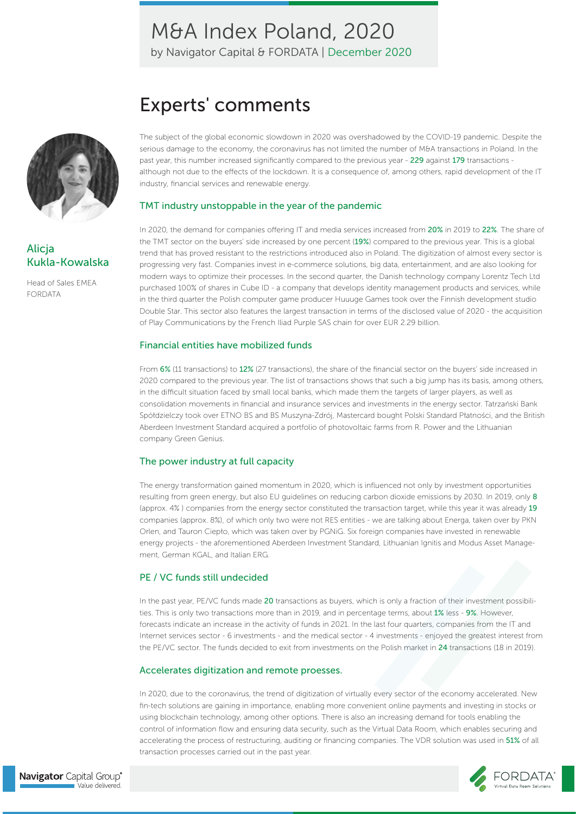by Navigator Capital & FORDATA | December 2020

### Experts' comments



### **Alicja** Kukla-Kowalska

Head of Sales EMEA FORDATA

The subject of the global economic slowdown in 2020 was overshadowed by the COVID-19 pandemic. Despite the serious damage to the economy, the coronavirus has not limited the number of M&A transactions in Poland. In the past year, this number increased significantly compared to the previous year - 229 against 179 transactions although not due to the effects of the lockdown. It is a consequence of, among others, rapid development of the IT industry, financial services and renewable energy.

#### TMT industry unstoppable in the year of the pandemic

In 2020, the demand for companies offering IT and media services increased from 20% in 2019 to 22%. The share of the TMT sector on the buyers' side increased by one percent (19%) compared to the previous year. This is a global trend that has proved resistant to the restrictions introduced also in Poland. The digitization of almost every sector is progressing very fast. Companies invest in e-commerce solutions, big data, entertainment, and are also looking for modern ways to optimize their processes. In the second quarter, the Danish technology company Lorentz Tech Ltd purchased 100% of shares in Cube ID - a company that develops identity management products and services, while in the third quarter the Polish computer game producer Huuuge Games took over the Finnish development studio Double Star. This sector also features the largest transaction in terms of the disclosed value of 2020 - the acquisition of Play Communications by the French Iliad Purple SAS chain for over EUR 2.29 billion.

#### Financial entities have mobilized funds

From 6% (11 transactions) to 12% (27 transactions), the share of the financial sector on the buyers' side increased in 2020 compared to the previous year. The list of transactions shows that such a big jump has its basis, among others, in the difficult situation faced by small local banks, which made them the targets of larger players, as well as consolidation movements in financial and insurance services and investments in the energy sector. Tatrzański Bank Spółdzielczy took over ETNO BS and BS Muszyna-Zdrój, Mastercard bought Polski Standard Płatności, and the British Aberdeen Investment Standard acquired a portfolio of photovoltaic farms from R. Power and the Lithuanian company Green Genius.

### The power industry at full capacity

The energy transformation gained momentum in 2020, which is influenced not only by investment opportunities resulting from green energy, but also EU guidelines on reducing carbon dioxide emissions by 2030. In 2019, only 8 (approx. 4% ) companies from the energy sector constituted the transaction target, while this year it was already 19 companies (approx. 8%), of which only two were not RES entities - we are talking about Energa, taken over by PKN Orlen, and Tauron Ciepło, which was taken over by PGNiG. Six foreign companies have invested in renewable energy projects - the aforementioned Aberdeen Investment Standard, Lithuanian Ignitis and Modus Asset Management, German KGAL, and Italian ERG.

### PE / VC funds still undecided

In the past year, PE/VC funds made 20 transactions as buyers, which is only a fraction of their investment possibilities. This is only two transactions more than in 2019, and in percentage terms, about 1% less - 9%. However, forecasts indicate an increase in the activity of funds in 2021. In the last four quarters, companies from the IT and Internet services sector - 6 investments - and the medical sector - 4 investments - enjoyed the greatest interest from the PE/VC sector. The funds decided to exit from investments on the Polish market in 24 transactions (18 in 2019).

#### Accelerates digitization and remote proesses.

In 2020, due to the coronavirus, the trend of digitization of virtually every sector of the economy accelerated. New fin-tech solutions are gaining in importance, enabling more convenient online payments and investing in stocks or using blockchain technology, among other options. There is also an increasing demand for tools enabling the control of information flow and ensuring data security, such as the Virtual Data Room, which enables securing and accelerating the process of restructuring, auditing or financing companies. The VDR solution was used in 51% of all transaction processes carried out in the past year.